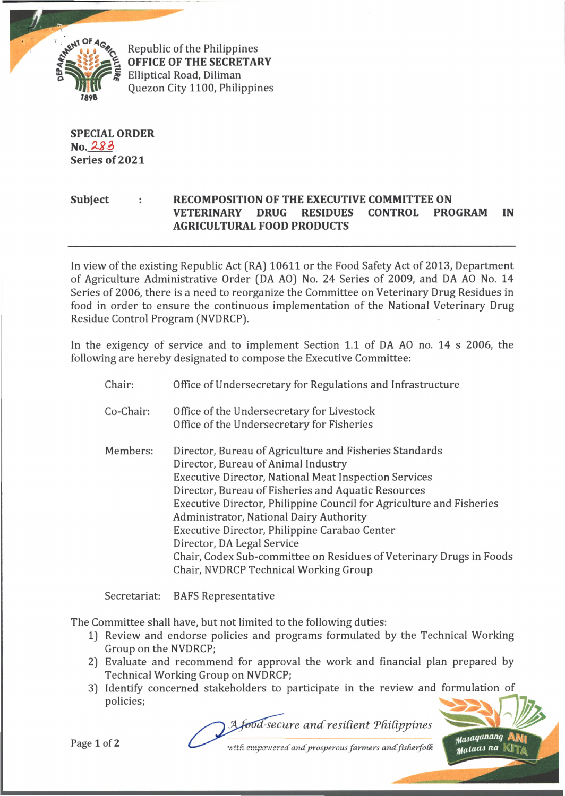

Republic of the Philippines **OFFICE OF THE SECRETARY** Elliptical Road, Diliman Quezon City 1100, Philippines

**SPECIAL ORDER No. Series of 2021**

## **Subject : RECOMPOSITION OF THE EXECUTIVE COMMITTEE ON VETERINARY DRUG RESIDUES CONTROL PROGRAM IN AGRICULTURAL FOOD PRODUCTS**

In view of the existing Republic Act (RA) 10611 or the Food Safety Act of 2013, Department of Agriculture Administrative Order (DA AO) No. 24 Series of 2009, and DA AO No. 14 Series of 2006, there is a need to reorganize the Committee on Veterinary Drug Residues in food in order to ensure the continuous implementation of the National Veterinary Drug Residue Control Program (NVDRCP).

In the exigency of service and to implement Section 1.1 of DA AO no. 14 s 2006, the following are hereby designated to compose the Executive Committee:

- Chair: Office of Undersecretary for Regulations and Infrastructure
- Co-Chair: Office of the Undersecretary for Livestock Office of the Undersecretary for Fisheries
- Director, Bureau of Animal Industry Executive Director, National Meat Inspection Services Director, Bureau of Fisheries and Aquatic Resources Executive Director, Philippine Council for Agriculture and Fisheries Administrator, National Dairy Authority Executive Director, Philippine Carabao Center Director, DA Legal Service Chair, Codex Sub-committee on Residues of Veterinary Drugs in Foods Chair, NVDRCP Technical Working Group Members: Director, Bureau of Agriculture and Fisheries Standards

Secretariat: BAFS Representative

The Committee shall have, but not limited to the following duties:

- 1) Review and endorse policies and programs formulated by the Technical Working Group on the NVDRCP;
- 2) Evaluate and recommend for approval the work and financial plan prepared by Technical Working Group on NVDRCP;
- 3) Identify concerned stakeholders to participate in the review and formulation of policies;

food-secure and resilient Philippines



Page 1 of 2

with empowered and prosperous farmers and fisherfolk